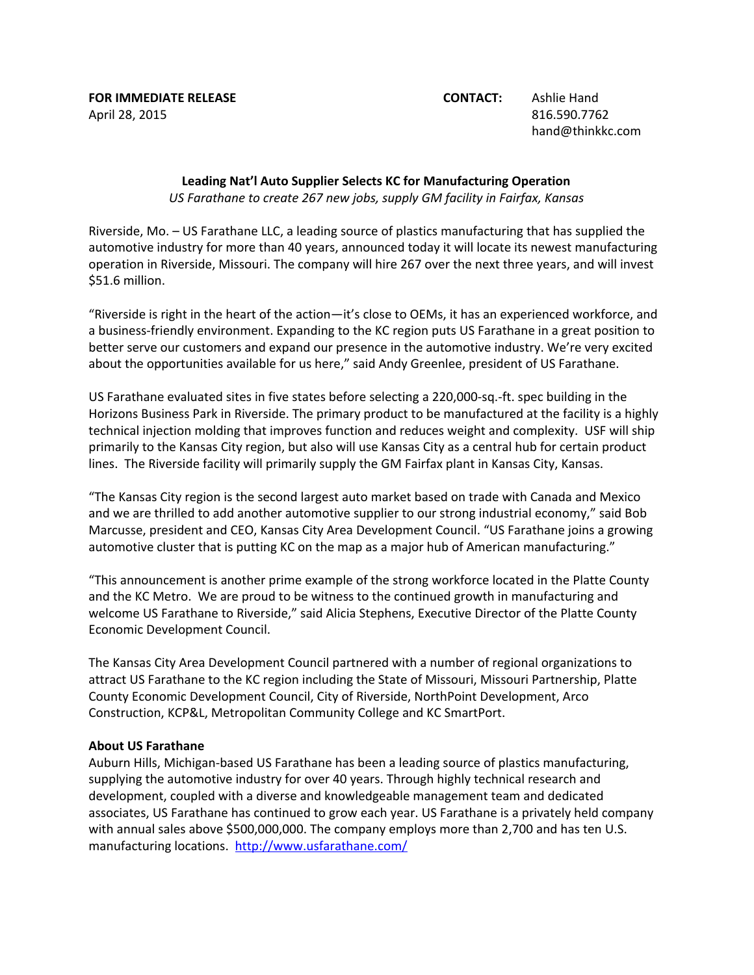**FOR IMMEDIATE RELEASE CONTACT:** Ashlie Hand April 28, 2015 816.590.7762

hand@thinkkc.com

## **Leading Nat'l Auto Supplier Selects KC for Manufacturing Operation** *US Farathane to create 267 new jobs, supply GM facility in Fairfax, Kansas*

Riverside, Mo. – US Farathane LLC, a leading source of plastics manufacturing that has supplied the automotive industry for more than 40 years, announced today it will locate its newest manufacturing operation in Riverside, Missouri. The company will hire 267 over the next three years, and will invest \$51.6 million.

"Riverside is right in the heart of the action—it's close to OEMs, it has an experienced workforce, and a business-friendly environment. Expanding to the KC region puts US Farathane in a great position to better serve our customers and expand our presence in the automotive industry. We're very excited about the opportunities available for us here," said Andy Greenlee, president of US Farathane.

US Farathane evaluated sites in five states before selecting a 220,000-sq.-ft. spec building in the Horizons Business Park in Riverside. The primary product to be manufactured at the facility is a highly technical injection molding that improves function and reduces weight and complexity. USF will ship primarily to the Kansas City region, but also will use Kansas City as a central hub for certain product lines. The Riverside facility will primarily supply the GM Fairfax plant in Kansas City, Kansas.

"The Kansas City region is the second largest auto market based on trade with Canada and Mexico and we are thrilled to add another automotive supplier to our strong industrial economy," said Bob Marcusse, president and CEO, Kansas City Area Development Council. "US Farathane joins a growing automotive cluster that is putting KC on the map as a major hub of American manufacturing."

"This announcement is another prime example of the strong workforce located in the Platte County and the KC Metro. We are proud to be witness to the continued growth in manufacturing and welcome US Farathane to Riverside," said Alicia Stephens, Executive Director of the Platte County Economic Development Council.

The Kansas City Area Development Council partnered with a number of regional organizations to attract US Farathane to the KC region including the State of Missouri, Missouri Partnership, Platte County Economic Development Council, City of Riverside, NorthPoint Development, Arco Construction, KCP&L, Metropolitan Community College and KC SmartPort.

## **About US Farathane**

Auburn Hills, Michigan-based US Farathane has been a leading source of plastics manufacturing, supplying the automotive industry for over 40 years. Through highly technical research and development, coupled with a diverse and knowledgeable management team and dedicated associates, US Farathane has continued to grow each year. US Farathane is a privately held company with annual sales above \$500,000,000. The company employs more than 2,700 and has ten U.S. manufacturing locations. <http://www.usfarathane.com/>